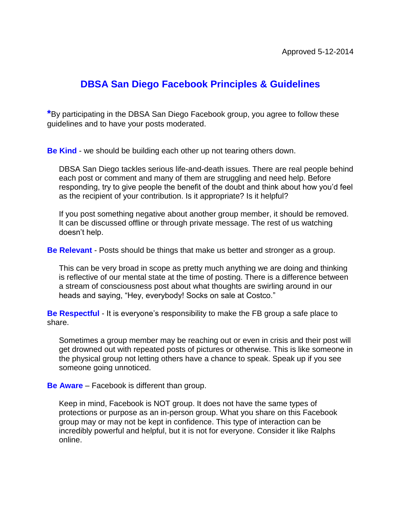# **DBSA San Diego Facebook Principles & Guidelines**

**\***By participating in the DBSA San Diego Facebook group, you agree to follow these guidelines and to have your posts moderated.

**Be Kind** - we should be building each other up not tearing others down.

DBSA San Diego tackles serious life-and-death issues. There are real people behind each post or comment and many of them are struggling and need help. Before responding, try to give people the benefit of the doubt and think about how you'd feel as the recipient of your contribution. Is it appropriate? Is it helpful?

If you post something negative about another group member, it should be removed. It can be discussed offline or through private message. The rest of us watching doesn't help.

**Be Relevant** - Posts should be things that make us better and stronger as a group.

This can be very broad in scope as pretty much anything we are doing and thinking is reflective of our mental state at the time of posting. There is a difference between a stream of consciousness post about what thoughts are swirling around in our heads and saying, "Hey, everybody! Socks on sale at Costco."

**Be Respectful** - It is everyone's responsibility to make the FB group a safe place to share.

Sometimes a group member may be reaching out or even in crisis and their post will get drowned out with repeated posts of pictures or otherwise. This is like someone in the physical group not letting others have a chance to speak. Speak up if you see someone going unnoticed.

**Be Aware** – Facebook is different than group.

Keep in mind, Facebook is NOT group. It does not have the same types of protections or purpose as an in-person group. What you share on this Facebook group may or may not be kept in confidence. This type of interaction can be incredibly powerful and helpful, but it is not for everyone. Consider it like Ralphs online.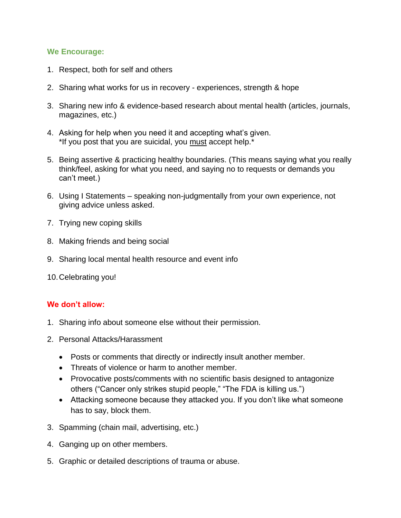#### **We Encourage:**

- 1. Respect, both for self and others
- 2. Sharing what works for us in recovery experiences, strength & hope
- 3. Sharing new info & evidence-based research about mental health (articles, journals, magazines, etc.)
- 4. Asking for help when you need it and accepting what's given. \*If you post that you are suicidal, you must accept help.\*
- 5. Being assertive & practicing healthy boundaries. (This means saying what you really think/feel, asking for what you need, and saying no to requests or demands you can't meet.)
- 6. Using I Statements speaking non-judgmentally from your own experience, not giving advice unless asked.
- 7. Trying new coping skills
- 8. Making friends and being social
- 9. Sharing local mental health resource and event info
- 10.Celebrating you!

## **We don't allow:**

- 1. Sharing info about someone else without their permission.
- 2. Personal Attacks/Harassment
	- Posts or comments that directly or indirectly insult another member.
	- Threats of violence or harm to another member.
	- Provocative posts/comments with no scientific basis designed to antagonize others ("Cancer only strikes stupid people," "The FDA is killing us.")
	- Attacking someone because they attacked you. If you don't like what someone has to say, block them.
- 3. Spamming (chain mail, advertising, etc.)
- 4. Ganging up on other members.
- 5. Graphic or detailed descriptions of trauma or abuse.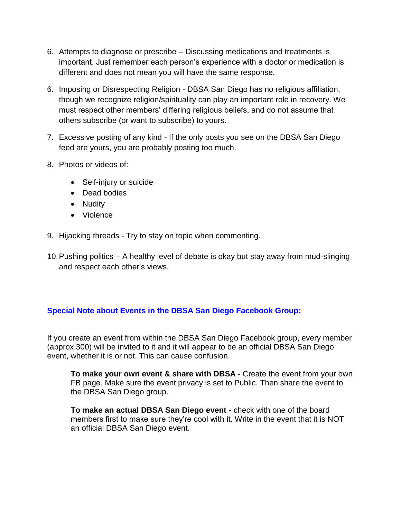- 6. Attempts to diagnose or prescribe Discussing medications and treatments is important. Just remember each person's experience with a doctor or medication is different and does not mean you will have the same response.
- 6. Imposing or Disrespecting Religion DBSA San Diego has no religious affiliation, though we recognize religion/spirituality can play an important role in recovery. We must respect other members' differing religious beliefs, and do not assume that others subscribe (or want to subscribe) to yours.
- 7. Excessive posting of any kind If the only posts you see on the DBSA San Diego feed are yours, you are probably posting too much.
- 8. Photos or videos of:
	- Self-injury or suicide
	- Dead bodies
	- Nudity
	- Violence
- 9. Hijacking threads Try to stay on topic when commenting.
- 10.Pushing politics A healthy level of debate is okay but stay away from mud-slinging and respect each other's views.

## **Special Note about Events in the DBSA San Diego Facebook Group:**

If you create an event from within the DBSA San Diego Facebook group, every member (approx 300) will be invited to it and it will appear to be an official DBSA San Diego event, whether it is or not. This can cause confusion.

**To make your own event & share with DBSA** - Create the event from your own FB page. Make sure the event privacy is set to Public. Then share the event to the DBSA San Diego group.

**To make an actual DBSA San Diego event** - check with one of the board members first to make sure they're cool with it. Write in the event that it is NOT an official DBSA San Diego event.